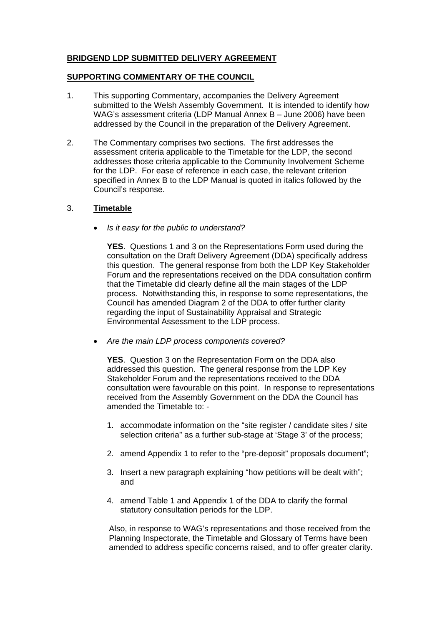# **BRIDGEND LDP SUBMITTED DELIVERY AGREEMENT**

## **SUPPORTING COMMENTARY OF THE COUNCIL**

- 1. This supporting Commentary, accompanies the Delivery Agreement submitted to the Welsh Assembly Government. It is intended to identify how WAG's assessment criteria (LDP Manual Annex B – June 2006) have been addressed by the Council in the preparation of the Delivery Agreement.
- 2. The Commentary comprises two sections. The first addresses the assessment criteria applicable to the Timetable for the LDP, the second addresses those criteria applicable to the Community Involvement Scheme for the LDP. For ease of reference in each case, the relevant criterion specified in Annex B to the LDP Manual is quoted in italics followed by the Council's response.

## 3. **Timetable**

• *Is it easy for the public to understand?* 

**YES**. Questions 1 and 3 on the Representations Form used during the consultation on the Draft Delivery Agreement (DDA) specifically address this question. The general response from both the LDP Key Stakeholder Forum and the representations received on the DDA consultation confirm that the Timetable did clearly define all the main stages of the LDP process. Notwithstanding this, in response to some representations, the Council has amended Diagram 2 of the DDA to offer further clarity regarding the input of Sustainability Appraisal and Strategic Environmental Assessment to the LDP process.

• *Are the main LDP process components covered?* 

**YES**. Question 3 on the Representation Form on the DDA also addressed this question. The general response from the LDP Key Stakeholder Forum and the representations received to the DDA consultation were favourable on this point. In response to representations received from the Assembly Government on the DDA the Council has amended the Timetable to: -

- 1. accommodate information on the "site register / candidate sites / site selection criteria" as a further sub-stage at 'Stage 3' of the process:
- 2. amend Appendix 1 to refer to the "pre-deposit" proposals document";
- 3. Insert a new paragraph explaining "how petitions will be dealt with"; and
- 4. amend Table 1 and Appendix 1 of the DDA to clarify the formal statutory consultation periods for the LDP.

Also, in response to WAG's representations and those received from the Planning Inspectorate, the Timetable and Glossary of Terms have been amended to address specific concerns raised, and to offer greater clarity.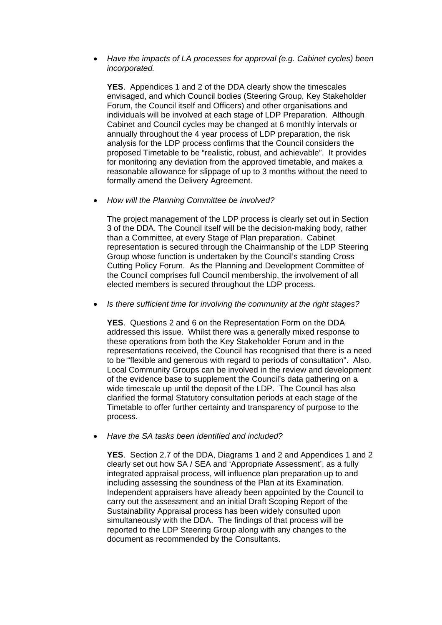### • *Have the impacts of LA processes for approval (e.g. Cabinet cycles) been incorporated.*

**YES**. Appendices 1 and 2 of the DDA clearly show the timescales envisaged, and which Council bodies (Steering Group, Key Stakeholder Forum, the Council itself and Officers) and other organisations and individuals will be involved at each stage of LDP Preparation. Although Cabinet and Council cycles may be changed at 6 monthly intervals or annually throughout the 4 year process of LDP preparation, the risk analysis for the LDP process confirms that the Council considers the proposed Timetable to be "realistic, robust, and achievable". It provides for monitoring any deviation from the approved timetable, and makes a reasonable allowance for slippage of up to 3 months without the need to formally amend the Delivery Agreement.

• *How will the Planning Committee be involved?* 

The project management of the LDP process is clearly set out in Section 3 of the DDA. The Council itself will be the decision-making body, rather than a Committee, at every Stage of Plan preparation. Cabinet representation is secured through the Chairmanship of the LDP Steering Group whose function is undertaken by the Council's standing Cross Cutting Policy Forum. As the Planning and Development Committee of the Council comprises full Council membership, the involvement of all elected members is secured throughout the LDP process.

• *Is there sufficient time for involving the community at the right stages?* 

**YES**. Questions 2 and 6 on the Representation Form on the DDA addressed this issue. Whilst there was a generally mixed response to these operations from both the Key Stakeholder Forum and in the representations received, the Council has recognised that there is a need to be "flexible and generous with regard to periods of consultation". Also, Local Community Groups can be involved in the review and development of the evidence base to supplement the Council's data gathering on a wide timescale up until the deposit of the LDP. The Council has also clarified the formal Statutory consultation periods at each stage of the Timetable to offer further certainty and transparency of purpose to the process.

• *Have the SA tasks been identified and included?* 

**YES**. Section 2.7 of the DDA, Diagrams 1 and 2 and Appendices 1 and 2 clearly set out how SA / SEA and 'Appropriate Assessment', as a fully integrated appraisal process, will influence plan preparation up to and including assessing the soundness of the Plan at its Examination. Independent appraisers have already been appointed by the Council to carry out the assessment and an initial Draft Scoping Report of the Sustainability Appraisal process has been widely consulted upon simultaneously with the DDA. The findings of that process will be reported to the LDP Steering Group along with any changes to the document as recommended by the Consultants.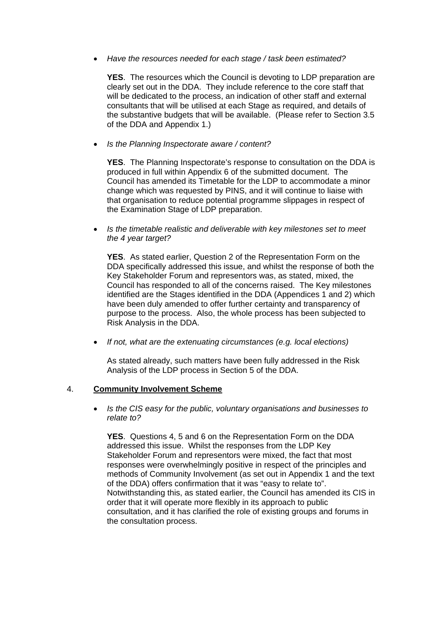• *Have the resources needed for each stage / task been estimated?* 

**YES**. The resources which the Council is devoting to LDP preparation are clearly set out in the DDA. They include reference to the core staff that will be dedicated to the process, an indication of other staff and external consultants that will be utilised at each Stage as required, and details of the substantive budgets that will be available. (Please refer to Section 3.5 of the DDA and Appendix 1.)

• *Is the Planning Inspectorate aware / content?* 

**YES**. The Planning Inspectorate's response to consultation on the DDA is produced in full within Appendix 6 of the submitted document. The Council has amended its Timetable for the LDP to accommodate a minor change which was requested by PINS, and it will continue to liaise with that organisation to reduce potential programme slippages in respect of the Examination Stage of LDP preparation.

• *Is the timetable realistic and deliverable with key milestones set to meet the 4 year target?* 

**YES**. As stated earlier, Question 2 of the Representation Form on the DDA specifically addressed this issue, and whilst the response of both the Key Stakeholder Forum and representors was, as stated, mixed, the Council has responded to all of the concerns raised. The Key milestones identified are the Stages identified in the DDA (Appendices 1 and 2) which have been duly amended to offer further certainty and transparency of purpose to the process. Also, the whole process has been subjected to Risk Analysis in the DDA.

• *If not, what are the extenuating circumstances (e.g. local elections)* 

As stated already, such matters have been fully addressed in the Risk Analysis of the LDP process in Section 5 of the DDA.

### 4. **Community Involvement Scheme**

• *Is the CIS easy for the public, voluntary organisations and businesses to relate to?* 

**YES**. Questions 4, 5 and 6 on the Representation Form on the DDA addressed this issue. Whilst the responses from the LDP Key Stakeholder Forum and representors were mixed, the fact that most responses were overwhelmingly positive in respect of the principles and methods of Community Involvement (as set out in Appendix 1 and the text of the DDA) offers confirmation that it was "easy to relate to". Notwithstanding this, as stated earlier, the Council has amended its CIS in order that it will operate more flexibly in its approach to public consultation, and it has clarified the role of existing groups and forums in the consultation process.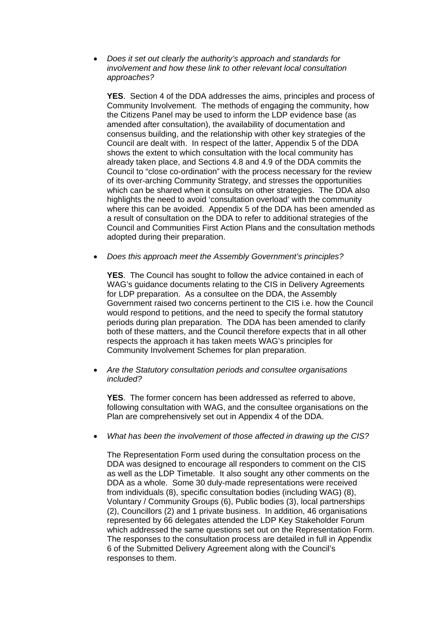• *Does it set out clearly the authority's approach and standards for involvement and how these link to other relevant local consultation approaches?* 

**YES**. Section 4 of the DDA addresses the aims, principles and process of Community Involvement. The methods of engaging the community, how the Citizens Panel may be used to inform the LDP evidence base (as amended after consultation), the availability of documentation and consensus building, and the relationship with other key strategies of the Council are dealt with. In respect of the latter, Appendix 5 of the DDA shows the extent to which consultation with the local community has already taken place, and Sections 4.8 and 4.9 of the DDA commits the Council to "close co-ordination" with the process necessary for the review of its over-arching Community Strategy, and stresses the opportunities which can be shared when it consults on other strategies. The DDA also highlights the need to avoid 'consultation overload' with the community where this can be avoided. Appendix 5 of the DDA has been amended as a result of consultation on the DDA to refer to additional strategies of the Council and Communities First Action Plans and the consultation methods adopted during their preparation.

• *Does this approach meet the Assembly Government's principles?* 

**YES**. The Council has sought to follow the advice contained in each of WAG's guidance documents relating to the CIS in Delivery Agreements for LDP preparation. As a consultee on the DDA, the Assembly Government raised two concerns pertinent to the CIS i.e. how the Council would respond to petitions, and the need to specify the formal statutory periods during plan preparation. The DDA has been amended to clarify both of these matters, and the Council therefore expects that in all other respects the approach it has taken meets WAG's principles for Community Involvement Schemes for plan preparation.

• *Are the Statutory consultation periods and consultee organisations included?* 

**YES**. The former concern has been addressed as referred to above, following consultation with WAG, and the consultee organisations on the Plan are comprehensively set out in Appendix 4 of the DDA.

• *What has been the involvement of those affected in drawing up the CIS?* 

The Representation Form used during the consultation process on the DDA was designed to encourage all responders to comment on the CIS as well as the LDP Timetable. It also sought any other comments on the DDA as a whole. Some 30 duly-made representations were received from individuals (8), specific consultation bodies (including WAG) (8), Voluntary / Community Groups (6), Public bodies (3), local partnerships (2), Councillors (2) and 1 private business. In addition, 46 organisations represented by 66 delegates attended the LDP Key Stakeholder Forum which addressed the same questions set out on the Representation Form. The responses to the consultation process are detailed in full in Appendix 6 of the Submitted Delivery Agreement along with the Council's responses to them.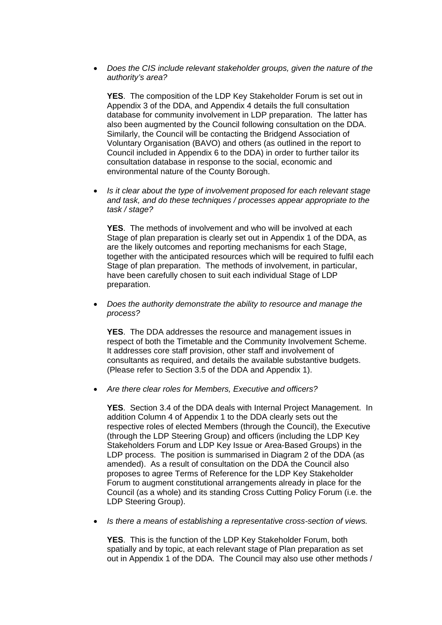• *Does the CIS include relevant stakeholder groups, given the nature of the authority's area?* 

**YES**. The composition of the LDP Key Stakeholder Forum is set out in Appendix 3 of the DDA, and Appendix 4 details the full consultation database for community involvement in LDP preparation. The latter has also been augmented by the Council following consultation on the DDA. Similarly, the Council will be contacting the Bridgend Association of Voluntary Organisation (BAVO) and others (as outlined in the report to Council included in Appendix 6 to the DDA) in order to further tailor its consultation database in response to the social, economic and environmental nature of the County Borough.

• *Is it clear about the type of involvement proposed for each relevant stage and task, and do these techniques / processes appear appropriate to the task / stage?* 

**YES**. The methods of involvement and who will be involved at each Stage of plan preparation is clearly set out in Appendix 1 of the DDA, as are the likely outcomes and reporting mechanisms for each Stage, together with the anticipated resources which will be required to fulfil each Stage of plan preparation. The methods of involvement, in particular, have been carefully chosen to suit each individual Stage of LDP preparation.

• *Does the authority demonstrate the ability to resource and manage the process?* 

**YES**. The DDA addresses the resource and management issues in respect of both the Timetable and the Community Involvement Scheme. It addresses core staff provision, other staff and involvement of consultants as required, and details the available substantive budgets. (Please refer to Section 3.5 of the DDA and Appendix 1).

• *Are there clear roles for Members, Executive and officers?* 

**YES**. Section 3.4 of the DDA deals with Internal Project Management. In addition Column 4 of Appendix 1 to the DDA clearly sets out the respective roles of elected Members (through the Council), the Executive (through the LDP Steering Group) and officers (including the LDP Key Stakeholders Forum and LDP Key Issue or Area-Based Groups) in the LDP process. The position is summarised in Diagram 2 of the DDA (as amended). As a result of consultation on the DDA the Council also proposes to agree Terms of Reference for the LDP Key Stakeholder Forum to augment constitutional arrangements already in place for the Council (as a whole) and its standing Cross Cutting Policy Forum (i.e. the LDP Steering Group).

• *Is there a means of establishing a representative cross-section of views.* 

**YES**. This is the function of the LDP Key Stakeholder Forum, both spatially and by topic, at each relevant stage of Plan preparation as set out in Appendix 1 of the DDA. The Council may also use other methods /